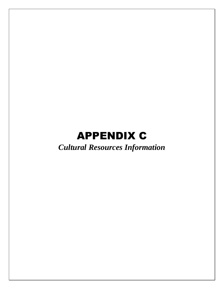# APPENDIX C

*Cultural Resources Information*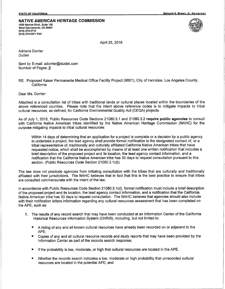# NATIVE AMERICAN HERITAGE COMMISSION

1550 Harbor Blvd., Suite 100 West Sacramento, CA 95691 (916) 373-3710 (916) 373-5471 FAX



April 25, 2016

**Adriane Dorrler** Dudek

Sent by E-mail: adorrier@dudek.com Number of Pages: 3

RE: Proposed Kaiser Permanente Medical Office Facility Project (9601), City of Irwindale, Los Angeles County, California

Dear Ms. Dorrler:

Attached is a consultation list of tribes with traditional lands or cultural places located within the boundaries of the above referenced counties. Please note that the intent above reference codes is to mitigate impacts to tribal cultural resources, as defined, for California Environmental Quality Act (CEQA) projects.

As of July 1, 2015, Public Resources Code Sections 21080.3.1 and 21080.3.2 require public agencies to consult with California Native American tribes identified by the Native American Heritage Commission (NAHC) for the purpose mitigating impacts to tribal cultural resources:

Within 14 days of determining that an application for a project is complete or a decision by a public agency to undertake a project, the lead agency shall provide formal notification to the designated contact of, or a tribal representative of, traditionally and culturally affiliated California Native American tribes that have requested notice, which shall be accomplished by means of at least one written notification that includes a brief description of the proposed project and its location, the lead agency contact information, and a notification that the California Native American tribe has 30 days to request consultation pursuant to this section. (Public Resources Code Section 21080.3.1(d))

The law does not preclude agencies from initiating consultation with the tribes that are culturally and traditionally affiliated with their jurisdictions. The NAHC believes that in fact that this is the best practice to ensure that tribes are consulted commensurate with the intent of the law.

In accordance with Public Resources Code Section 21080.3.1(d), formal notification must include a brief description of the proposed project and its location, the lead agency contact information, and a notification that the California Native American tribe has 30 days to request consultation. The NAHC believes that agencies should also include with their notification letters information regarding any cultural resources assessment that has been completed on the APE, such as:

- 1. The results of any record search that may have been conducted at an Information Center of the California Historical Resources Information System (CHRIS), including, but not limited to:
	- A listing of any and all known cultural resources have already been recorded on or adjacent to the  $\blacksquare$ APE;
	- Copies of any and all cultural resource records and study reports that may have been provided by the  $\blacksquare$ Information Center as part of the records search response;
	- $\blacksquare$ If the probability is low, moderate, or high that cultural resources are located in the APE.
	- Whether the records search indicates a low, moderate or high probability that unrecorded cultural resources are located in the potential APE; and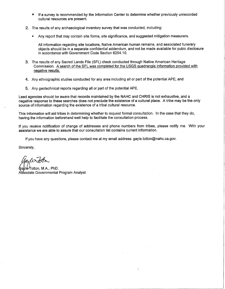- If a survey is recommended by the Information Center to determine whether previously unrecorded cultural resources are present.
- 2. The results of any archaeological inventory survey that was conducted, including:
	- Any report that may contain site forms, site significance, and suggested mitigation measurers.

All information regarding site locations, Native American human remains, and associated funerary objects should be in a separate confidential addendum, and not be made available for pubic disclosure in accordance with Government Code Section 6254.10.

- 3. The results of any Sacred Lands File (SFL) check conducted through Native American Heritage Commission. A search of the SFL was completed for the USGS quadrangle information provided with negative results.
- 4. Any ethnographic studies conducted for any area including all or part of the potential APE; and
- 5. Any geotechnical reports regarding all or part of the potential APE.

Lead agencies should be aware that records maintained by the NAHC and CHRIS is not exhaustive. and a negative response to these searches does not preclude the existence of a cultural place. A tribe may be the only source of information regarding the existence of a tribal cultural resource.

This information will aid tribes in determining whether to request formal consultation. In the case that they do, having the information beforehand well help to facilitate the consultation process.

If you receive notification of change of addresses and phone numbers from tribes, please notify me. With your assistance we are able to assure that our consultation list contains current information.

If you have any questions, please contact me at my email address: gayle.totton@nahc.ca.gov.

Sincerely,

rle∕Totton, M.A., PhD. Ssociate Governmental Program Analyst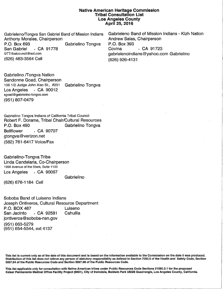#### **Native American Heritage Commission Tribal Consultation List Los Angeles County** April 25, 2016

Gabrieleno/Tongya San Gabriel Band of Mission Indians Anthony Morales, Chairperson P.O. Box 693 Gabrielino Tongva San Gabriel , CA 91778 GTTribalcouncil@aol.com (626) 483-3564 Cell

Gabrielino /Tongva Nation Sandonne Goad, Chairperson 106 1/2 Judge John Aiso St., #231 Gabrielino Tongva Los Angeles , CA 90012 sqoad@gabrielino-tongva.com (951) 807-0479

Gabrielino Tongva Indians of California Tribal Council Robert F. Dorame, Tribal Chair/Cultural Resources P.O. Box 490 Gabrielino Tongva **Bellflower** , CA 90707 gtongva@verizon.net (562) 761-6417 Voice/Fax

Gabrielino-Tongva Tribe Linda Candelaria, Co-Chairperson 1999 Avenue of the Stars, Suite 1100 Los Angeles , CA 90067

Gabrielino

(626) 676-1184 Cell

Soboba Band of Luiseno Indians Joseph Ontiveros, Cultural Resource Department P.O. BOX 487 Luiseno , CA 92581 Cahuilla San Jacinto jontiveros@soboba-nsn.gov

(951) 663-5279  $(951)$  654-5544, ext 4137

This list is current only as of the date of this document and is based on the information available to the Commission on the date it was produced. Distribution of this list does not relieve any person of statutory responsibility as defined in Section 7050.5 of the Health and Safety Code, Section 5097.94 of the Public Resources Code and Section 5097.98 of the Public Resources Code.

This list applicable only for consultation with Native American tribes under Public Resources Code Sections 21080.3.1 for the proposed Kaiser Permanente Medical Office Facility Project (9601), City of Irwindale, Baldwin Park USGS Quadrangle, Los Angeles County, California.

Gabrieleno Band of Mission Indians - Kizh Nation Andrew Salas, Chairperson P.O. Box 393 , CA 91723 Covina gabrielenoindians@vahoo.com Gabrielino (626) 926-4131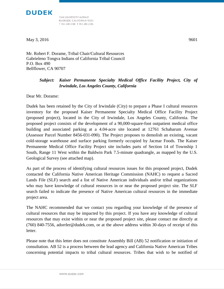

May 3, 2016 9601

Mr. Robert F. Dorame, Tribal Chair/Cultural Resources Gabrieleno Tongva Indians of California Tribal Council P.O. Box 490 Bellflower, CA 90707

# *Subject: Kaiser Permanente Specialty Medical Office Facility Project, City of Irwindale, Los Angeles County, California*

Dear Mr. Dorame:

Dudek has been retained by the City of Irwindale (City) to prepare a Phase I cultural resources inventory for the proposed Kaiser Permanente Specialty Medical Office Facility Project (proposed project), located in the City of Irwindale, Los Angeles County, California. The proposed project consists of the development of a 90,000-square-foot outpatient medical office building and associated parking at a 4.04-acre site located at 12761 Schabarum Avenue (Assessor Parcel Number 8456-031-090). The Project proposes to demolish an existing, vacant cold-storage warehouse and surface parking formerly occupied by Jacmar Foods. The Kaiser Permanente Medical Office Facility Project site includes parts of Section 14 of Township 1 South, Range 11 West within the Baldwin Park 7.5-minute quadrangle, as mapped by the U.S. Geological Survey (see attached map).

As part of the process of identifying cultural resources issues for this proposed project, Dudek contacted the California Native American Heritage Commission (NAHC) to request a Sacred Lands File (SLF) search and a list of Native American individuals and/or tribal organizations who may have knowledge of cultural resources in or near the proposed project site. The SLF search failed to indicate the presence of Native American cultural resources in the immediate project area.

The NAHC recommended that we contact you regarding your knowledge of the presence of cultural resources that may be impacted by this project. If you have any knowledge of cultural resources that may exist within or near the proposed project site, please contact me directly at (760) 840-7556, adorrler@dudek.com, or at the above address within 30-days of receipt of this letter.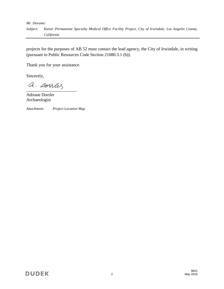#### *Mr. Dorame:*

*Subject: Kaiser Permanente Specialty Medical Office Facility Project, City of Irwindale, Los Angeles County, California*

projects for the purposes of AB 52 must contact the lead agency, the City of Irwindale, in writing (pursuant to Public Resources Code Section 21080.3.1 (b)).

Thank you for your assistance.

Sincerely,

a. Dossles

Adriane Dorrler Archaeologist

*Attachment: Project Location Map*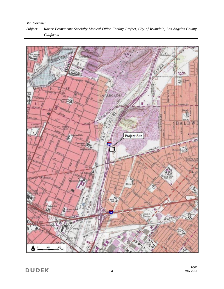## *Mr. Dorame:*

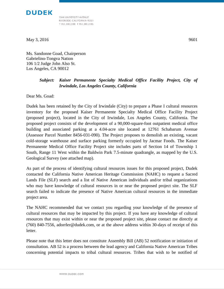

May 3, 2016 9601

Ms. Sandonne Goad, Chairperson Gabrielino-Tongva Nation 106 1/2 Judge John Also St. Los Angeles, CA 90012

# *Subject: Kaiser Permanente Specialty Medical Office Facility Project, City of Irwindale, Los Angeles County, California*

Dear Ms. Goad:

Dudek has been retained by the City of Irwindale (City) to prepare a Phase I cultural resources inventory for the proposed Kaiser Permanente Specialty Medical Office Facility Project (proposed project), located in the City of Irwindale, Los Angeles County, California. The proposed project consists of the development of a 90,000-square-foot outpatient medical office building and associated parking at a 4.04-acre site located at 12761 Schabarum Avenue (Assessor Parcel Number 8456-031-090). The Project proposes to demolish an existing, vacant cold-storage warehouse and surface parking formerly occupied by Jacmar Foods. The Kaiser Permanente Medical Office Facility Project site includes parts of Section 14 of Township 1 South, Range 11 West within the Baldwin Park 7.5-minute quadrangle, as mapped by the U.S. Geological Survey (see attached map).

As part of the process of identifying cultural resources issues for this proposed project, Dudek contacted the California Native American Heritage Commission (NAHC) to request a Sacred Lands File (SLF) search and a list of Native American individuals and/or tribal organizations who may have knowledge of cultural resources in or near the proposed project site. The SLF search failed to indicate the presence of Native American cultural resources in the immediate project area.

The NAHC recommended that we contact you regarding your knowledge of the presence of cultural resources that may be impacted by this project. If you have any knowledge of cultural resources that may exist within or near the proposed project site, please contact me directly at (760) 840-7556, adorrler@dudek.com, or at the above address within 30-days of receipt of this letter.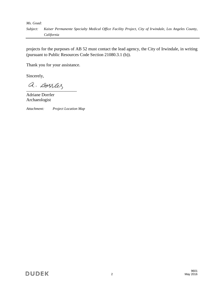## *Ms. Goad:*

*Subject: Kaiser Permanente Specialty Medical Office Facility Project, City of Irwindale, Los Angeles County, California*

projects for the purposes of AB 52 must contact the lead agency, the City of Irwindale, in writing (pursuant to Public Resources Code Section 21080.3.1 (b)).

Thank you for your assistance.

Sincerely,

a. Dossles

Adriane Dorrler Archaeologist

*Attachment: Project Location Map*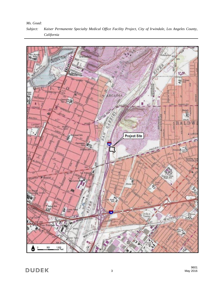# *Ms. Goad:*

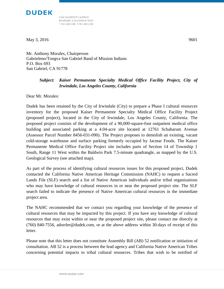

May 3, 2016 9601

Mr. Anthony Morales, Chairperson Gabrieleno/Tongva San Gabriel Band of Mission Indians P.O. Box 693 San Gabriel, CA 91778

# *Subject: Kaiser Permanente Specialty Medical Office Facility Project, City of Irwindale, Los Angeles County, California*

Dear Mr. Morales:

Dudek has been retained by the City of Irwindale (City) to prepare a Phase I cultural resources inventory for the proposed Kaiser Permanente Specialty Medical Office Facility Project (proposed project), located in the City of Irwindale, Los Angeles County, California. The proposed project consists of the development of a 90,000-square-foot outpatient medical office building and associated parking at a 4.04-acre site located at 12761 Schabarum Avenue (Assessor Parcel Number 8456-031-090). The Project proposes to demolish an existing, vacant cold-storage warehouse and surface parking formerly occupied by Jacmar Foods. The Kaiser Permanente Medical Office Facility Project site includes parts of Section 14 of Township 1 South, Range 11 West within the Baldwin Park 7.5-minute quadrangle, as mapped by the U.S. Geological Survey (see attached map).

As part of the process of identifying cultural resources issues for this proposed project, Dudek contacted the California Native American Heritage Commission (NAHC) to request a Sacred Lands File (SLF) search and a list of Native American individuals and/or tribal organizations who may have knowledge of cultural resources in or near the proposed project site. The SLF search failed to indicate the presence of Native American cultural resources in the immediate project area.

The NAHC recommended that we contact you regarding your knowledge of the presence of cultural resources that may be impacted by this project. If you have any knowledge of cultural resources that may exist within or near the proposed project site, please contact me directly at (760) 840-7556, adorrler@dudek.com, or at the above address within 30-days of receipt of this letter.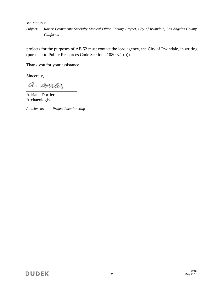## *Mr. Morales:*

*Subject: Kaiser Permanente Specialty Medical Office Facility Project, City of Irwindale, Los Angeles County, California*

projects for the purposes of AB 52 must contact the lead agency, the City of Irwindale, in writing (pursuant to Public Resources Code Section 21080.3.1 (b)).

Thank you for your assistance.

Sincerely,

a. Dossles

Adriane Dorrler Archaeologist

*Attachment: Project Location Map*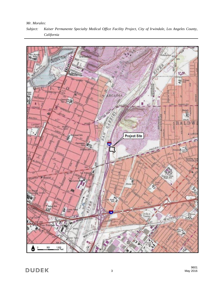# *Mr. Morales:*

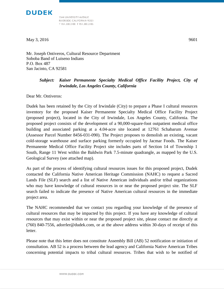

May 3, 2016 9601

Mr. Joseph Ontiveros, Cultural Resource Department Soboba Band of Luiseno Indians P.O. Box 487 San Jacinto, CA 92581

# *Subject: Kaiser Permanente Specialty Medical Office Facility Project, City of Irwindale, Los Angeles County, California*

Dear Mr. Ontiveros:

Dudek has been retained by the City of Irwindale (City) to prepare a Phase I cultural resources inventory for the proposed Kaiser Permanente Specialty Medical Office Facility Project (proposed project), located in the City of Irwindale, Los Angeles County, California. The proposed project consists of the development of a 90,000-square-foot outpatient medical office building and associated parking at a 4.04-acre site located at 12761 Schabarum Avenue (Assessor Parcel Number 8456-031-090). The Project proposes to demolish an existing, vacant cold-storage warehouse and surface parking formerly occupied by Jacmar Foods. The Kaiser Permanente Medical Office Facility Project site includes parts of Section 14 of Township 1 South, Range 11 West within the Baldwin Park 7.5-minute quadrangle, as mapped by the U.S. Geological Survey (see attached map).

As part of the process of identifying cultural resources issues for this proposed project, Dudek contacted the California Native American Heritage Commission (NAHC) to request a Sacred Lands File (SLF) search and a list of Native American individuals and/or tribal organizations who may have knowledge of cultural resources in or near the proposed project site. The SLF search failed to indicate the presence of Native American cultural resources in the immediate project area.

The NAHC recommended that we contact you regarding your knowledge of the presence of cultural resources that may be impacted by this project. If you have any knowledge of cultural resources that may exist within or near the proposed project site, please contact me directly at (760) 840-7556, adorrler@dudek.com, or at the above address within 30-days of receipt of this letter.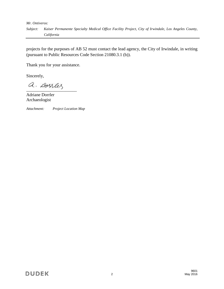#### *Mr. Ontiveros:*

*Subject: Kaiser Permanente Specialty Medical Office Facility Project, City of Irwindale, Los Angeles County, California*

projects for the purposes of AB 52 must contact the lead agency, the City of Irwindale, in writing (pursuant to Public Resources Code Section 21080.3.1 (b)).

Thank you for your assistance.

Sincerely,

a. Dossles

Adriane Dorrler Archaeologist

*Attachment: Project Location Map*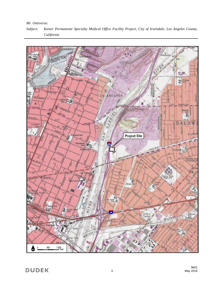## *Mr. Ontiveros:*

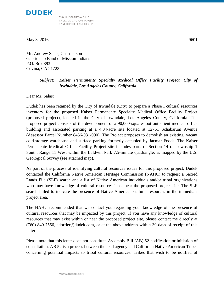

May 3, 2016 9601

Mr. Andrew Salas, Chairperson Gabrieleno Band of Mission Indians P.O. Box 393 Covina, CA 91723

# *Subject: Kaiser Permanente Specialty Medical Office Facility Project, City of Irwindale, Los Angeles County, California*

Dear Mr. Salas:

Dudek has been retained by the City of Irwindale (City) to prepare a Phase I cultural resources inventory for the proposed Kaiser Permanente Specialty Medical Office Facility Project (proposed project), located in the City of Irwindale, Los Angeles County, California. The proposed project consists of the development of a 90,000-square-foot outpatient medical office building and associated parking at a 4.04-acre site located at 12761 Schabarum Avenue (Assessor Parcel Number 8456-031-090). The Project proposes to demolish an existing, vacant cold-storage warehouse and surface parking formerly occupied by Jacmar Foods. The Kaiser Permanente Medical Office Facility Project site includes parts of Section 14 of Township 1 South, Range 11 West within the Baldwin Park 7.5-minute quadrangle, as mapped by the U.S. Geological Survey (see attached map).

As part of the process of identifying cultural resources issues for this proposed project, Dudek contacted the California Native American Heritage Commission (NAHC) to request a Sacred Lands File (SLF) search and a list of Native American individuals and/or tribal organizations who may have knowledge of cultural resources in or near the proposed project site. The SLF search failed to indicate the presence of Native American cultural resources in the immediate project area.

The NAHC recommended that we contact you regarding your knowledge of the presence of cultural resources that may be impacted by this project. If you have any knowledge of cultural resources that may exist within or near the proposed project site, please contact me directly at (760) 840-7556, adorrler@dudek.com, or at the above address within 30-days of receipt of this letter.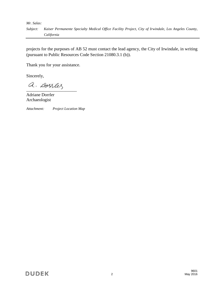## *Mr. Salas:*

*Subject: Kaiser Permanente Specialty Medical Office Facility Project, City of Irwindale, Los Angeles County, California*

projects for the purposes of AB 52 must contact the lead agency, the City of Irwindale, in writing (pursuant to Public Resources Code Section 21080.3.1 (b)).

Thank you for your assistance.

Sincerely,

a. Dossles

Adriane Dorrler Archaeologist

*Attachment: Project Location Map*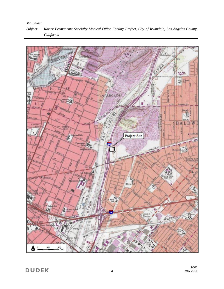# *Mr. Salas:*

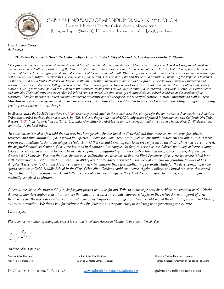

# GABRIELENO BAND OF MISSION INDIANS – KIZH NATION

Historically known as The San Gabriel Band of Mission Indians Recognized by the State of California as the aboriginal tribe of the Los Angeles basin

*Dear Adraine Dorrler Archeologist*

#### *RE: Kaiser Permanente Specialty Medical Office Facility Project, City of Irwindale, Los Angeles County, California*

*"The project locale lies in an area where the Ancestral & traditional territories of the Kizh(Kitc) Gabrieleño villages such as Asuksangna, adjoined and overlapped with each other, at least during the Late Prehistoric and Protohistoric Periods. The homeland of the Kizh (Kitc) Gabrieleños , probably the most influential Native American group in aboriginal southern California (Bean and Smith 1978a:538), was centered in the Los Angeles Basin, and reached as far east as the San Bernardino-Riverside area. The homeland of the Serranos was primarily the San Bernardino Mountains, including the slopes and lowlands on the north and south flanks.Whatever the linguistic affiliation, Native Americans in and around the project area echibited similar orgainization and resource procurement strategies. Villages were based on clan or lineage groups. Their home/ base sites are marked by midden deposits, often with bedrock mortars. During their seasonal rounds to exploit plant resources, small groups would migrate within their traditional territory in search of specific plants and animals. Their gathering strategies often left behind signs of special use sites, usually grinding slicks on bedrock boulders, at the locations of the resources. Therefore in order to protect our resources we're requesting one of our experienced & certified Native American monitors as well a Arceo-Monitoir to be on site during any & all ground disturbances (this includes but is not limited to pavement removal, pot-holing or auguring, boring, grading, excavation and trenching).* 

*In all cases, when the NAHC states there are "No" records of sacred sites" in the subject area; they always refer the contractors back to the Native American Tribes whose tribal territory the project area is in. This is due to the fact, that the NAHC is only aware of general information on each California NA Tribe they are "NOT " the "experts" on our Tribe. Our Elder Committee & Tribal Historians are the experts and is the reason why the NAHC will always refer contractors to the local tribes.*

*In addition, we are also often told that an area has been previously developed or disturbed and thus there are no concerns for cultural resources and thus minimal impacts would be expected. I have two major recent examples of how similar statements on other projects were proven very inadequate. An archaeological study claimed there would be no impacts to an area adjacent to the Plaza Church at Olvera Street, the original Spanish settlement of Los Angeles, now in downtown Los Angeles. In fact, this site was the Gabrieleno village of Yangna long before it became what it is now today. The new development wrongfully began their construction and they, in the process, dug up and desecrated 118 burials. The area that was dismissed as culturally sensitive was in fact the First Cemetery of Los Angeles where it had been well documented at the Huntington Library that 400 of our Tribe's ancestors were buried there along with the founding families of Los Angeles (Picos, Sepulvedas, and Alvardos to name a few). In addition, there was another inappropriate study for the development of a new sports complex at Fedde Middle School in the City of Hawaiian Gardens could commence. Again, a village and burial site were desecrated despite their mitigation measures. Thankfully, we were able to work alongside the school district to quickly and respectfully mitigate a mutually beneficial resolution.* 

*Given all the above, the proper thing to do for your project would be for our Tribe to monitor ground disturbing construction work. Native American monitors and/or consultant can see that cultural resources are treated appropriately from the Native American point of view***.** *Because we are the lineal descendants of the vast area of Los Angeles and Orange Counties, we hold sacred the ability to protect what little of our culture remains. We thank you for taking seriously your role and responsibility in assisting us in preserving our culture.* 

*With respect,*

*Please contact our office regarding this project to coordinate a Native American Monitor to be present. Thank You*

*Andrew Salas, Chairman*

PO Box 393 Covina, CA 91723 [www.gabrielenoindians@yahoo.com](http://www.gabrielenoindians@yahoo.com) gabrielenoindians@yahoo.com

Andrew Salas, Chairman Nadine Salas, Vice-Chairman Nadine Salas, Vice-Chairman Christina Swindall Martinez, secretary Albert Perez, treasurer I **Martha Gonzalez Lemos, treasurer II** Richard Gradias, Chairman of the council of Elders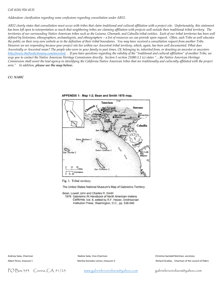#### *Cell (626) 926-4131*

*Addendum: clarification regarding some confusions regarding consultation under AB52:*

*AB52 clearly states that consultation must occur with tribes that claim traditional and cultural affiliation with a project site. Unfortunately, this statement has been left open to interpretation so much that neighboring tribes are claiming affiliation with projects well outside their traditional tribal territory. The territories of our surrounding Native American tribes such as the Luiseno, Chumash, and Cahuilla tribal entities. Each of our tribal territories has been well defined by historians, ethnographers, archaeologists, and ethnographers – a list of resources we can provide upon request. Often, each Tribe as well educates the public on their very own website as to the definition of their tribal boundaries. You may have received a consultation request from another Tribe. However we are responding because your project site lies within our Ancestral tribal territory, which, again, has been well documented. What does Ancestrally or Ancestral mean? The people who were in your family in past times, Of, belonging to, inherited from, or denoting an ancestor or ancestors [http://www.thefreedictionary.com/ancestral.](http://www.thefreedictionary.com/ancestral) . If you have questions regarding the validity of the "traditional and cultural affiliation" of another Tribe, we urge you to contact the Native American Heritage Commission directly. Section 5 section 21080.3.1 (c) states "…the Native American Heritage Commission shall assist the lead agency in identifying the California Native American tribes that are traditionally and culturally affiliated with the project area." In addition, please see the map below.*

#### *CC: NAHC*



APPENDIX 1: Map 1-2; Bean and Smith 1978 map.

Fig. 1. Tribal territory.

The United States National Museum's Map of Gabrielino Territory:

Bean, Lowell John and Charles R. Smith

1978 Gabrielino IN Handbook of North American Indians, California, Vol. 8, edited by R.F. Heizer, Smithsonian Institution Press, Washington, D.C., pp. 538-549

Andrew Salas, Chairman Nadine Salas, Vice-Chairman Nadine Salas, Vice-Chairman Christina Swindall Martinez, secretary

Albert Perez, treasurer I **Martha Gonzalez Lemos, treasurer II** Richard Gradias, Chairman of the council of Elders

PO Box 393 Covina, CA 91723 [www.gabrielenoindians@yahoo.com](http://www.gabrielenoindians@yahoo.com) gabrielenoindians@yahoo.com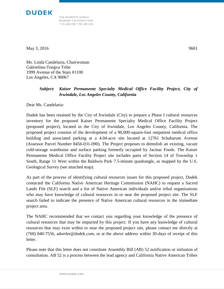

May 3, 2016 9601

Ms. Linda Candelaria, Chairwoman Gabrielino-Tongva Tribe 1999 Avenue of the Stars #1100 Los Angeles, CA 90067

# *Subject: Kaiser Permanente Specialty Medical Office Facility Project, City of Irwindale, Los Angeles County, California*

Dear Ms. Candelaria:

Dudek has been retained by the City of Irwindale (City) to prepare a Phase I cultural resources inventory for the proposed Kaiser Permanente Specialty Medical Office Facility Project (proposed project), located in the City of Irwindale, Los Angeles County, California. The proposed project consists of the development of a 90,000-square-foot outpatient medical office building and associated parking at a 4.04-acre site located at 12761 Schabarum Avenue (Assessor Parcel Number 8456-031-090). The Project proposes to demolish an existing, vacant cold-storage warehouse and surface parking formerly occupied by Jacmar Foods. The Kaiser Permanente Medical Office Facility Project site includes parts of Section 14 of Township 1 South, Range 11 West within the Baldwin Park 7.5-minute quadrangle, as mapped by the U.S. Geological Survey (see attached map).

As part of the process of identifying cultural resources issues for this proposed project, Dudek contacted the California Native American Heritage Commission (NAHC) to request a Sacred Lands File (SLF) search and a list of Native American individuals and/or tribal organizations who may have knowledge of cultural resources in or near the proposed project site. The SLF search failed to indicate the presence of Native American cultural resources in the immediate project area.

The NAHC recommended that we contact you regarding your knowledge of the presence of cultural resources that may be impacted by this project. If you have any knowledge of cultural resources that may exist within or near the proposed project site, please contact me directly at (760) 840-7556, adorrler@dudek.com, or at the above address within 30-days of receipt of this letter.

Please note that this letter does not constitute Assembly Bill (AB) 52 notification or initiation of consultation. AB 52 is a process between the lead agency and California Native American Tribes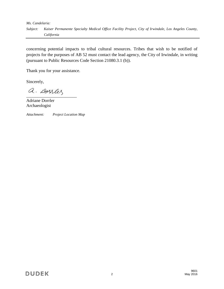*Ms. Candelaria: Subject: Kaiser Permanente Specialty Medical Office Facility Project, City of Irwindale, Los Angeles County, California*

concerning potential impacts to tribal cultural resources. Tribes that wish to be notified of projects for the purposes of AB 52 must contact the lead agency, the City of Irwindale, in writing (pursuant to Public Resources Code Section 21080.3.1 (b)).

Thank you for your assistance.

Sincerely,

a. Dossles

Adriane Dorrler Archaeologist

*Attachment: Project Location Map*